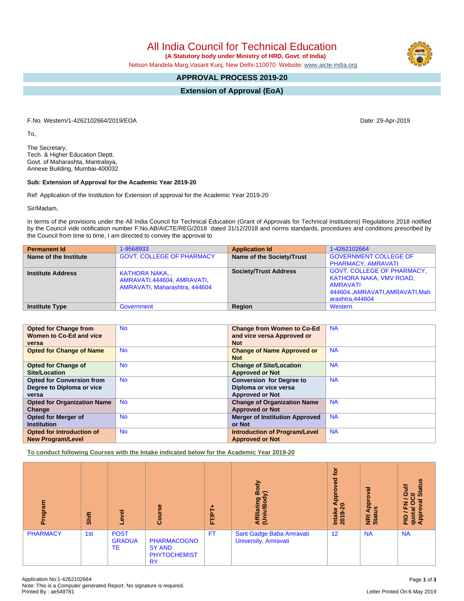All India Council for Technical Education  **(A Statutory body under Ministry of HRD, Govt. of India)**

Nelson Mandela Marg,Vasant Kunj, New Delhi-110070 Website: [www.aicte-india.org](http://www.aicte-india.org)

# **APPROVAL PROCESS 2019-20**

**Extension of Approval (EoA)**

F.No. Western/1-4262102664/2019/EOA Date: 29-Apr-2019

To,

The Secretary, Tech. & Higher Education Deptt. Govt. of Maharashta, Mantralaya, Annexe Building, Mumbai-400032

### **Sub: Extension of Approval for the Academic Year 2019-20**

Ref: Application of the Institution for Extension of approval for the Academic Year 2019-20

Sir/Madam,

In terms of the provisions under the All India Council for Technical Education (Grant of Approvals for Technical Institutions) Regulations 2018 notified by the Council vide notification number F.No.AB/AICTE/REG/2018 dated 31/12/2018 and norms standards, procedures and conditions prescribed by the Council from time to time, I am directed to convey the approval to

| <b>Permanent Id</b>      | 1-9568933                                                                   | <b>Application Id</b>        | 1-4262102664                                                                                                                    |
|--------------------------|-----------------------------------------------------------------------------|------------------------------|---------------------------------------------------------------------------------------------------------------------------------|
| Name of the Institute    | <b>GOVT. COLLEGE OF PHARMACY</b>                                            | Name of the Society/Trust    | <b>GOVERNMENT COLLEGE OF</b><br>PHARMACY, AMRAVATI                                                                              |
| <b>Institute Address</b> | KATHORA NAKA<br>AMRAVATI.444604, AMRAVATI,<br>AMRAVATI, Maharashtra, 444604 | <b>Society/Trust Address</b> | <b>GOVT. COLLEGE OF PHARMACY,</b><br>KATHORA NAKA, VMV ROAD,<br>AMRAVATI<br>444604., AMRAVATI, AMRAVATI, Mah<br>arashtra.444604 |
| Institute Type           | Government                                                                  | Region                       | Western                                                                                                                         |

| <b>Opted for Change from</b>       | <b>No</b> | <b>Change from Women to Co-Ed</b>     | <b>NA</b> |
|------------------------------------|-----------|---------------------------------------|-----------|
| Women to Co-Ed and vice            |           | and vice versa Approved or            |           |
| versa                              |           | <b>Not</b>                            |           |
| <b>Opted for Change of Name</b>    | <b>No</b> | <b>Change of Name Approved or</b>     | <b>NA</b> |
|                                    |           | <b>Not</b>                            |           |
| <b>Opted for Change of</b>         | <b>No</b> | <b>Change of Site/Location</b>        | <b>NA</b> |
| <b>Site/Location</b>               |           | <b>Approved or Not</b>                |           |
| <b>Opted for Conversion from</b>   | <b>No</b> | <b>Conversion for Degree to</b>       | <b>NA</b> |
| Degree to Diploma or vice          |           | Diploma or vice versa                 |           |
| versa                              |           | <b>Approved or Not</b>                |           |
| <b>Opted for Organization Name</b> | <b>No</b> | <b>Change of Organization Name</b>    | <b>NA</b> |
| Change                             |           | <b>Approved or Not</b>                |           |
| <b>Opted for Merger of</b>         | <b>No</b> | <b>Merger of Institution Approved</b> | <b>NA</b> |
| <b>Institution</b>                 |           | or Not                                |           |
| <b>Opted for Introduction of</b>   | <b>No</b> | <b>Introduction of Program/Level</b>  | <b>NA</b> |
| <b>New Program/Level</b>           |           | <b>Approved or Not</b>                |           |

**To conduct following Courses with the Intake indicated below for the Academic Year 2019-20**

| rogram<br>ō     | Shift | g<br>ٯ                             | Course                                                                  | <b>FT/P</b> | Body<br>⋦<br>Affiliating<br>(Univ/Bod <sub>)</sub> | $\overline{5}$<br>3<br>ဝ<br>Āppi<br>$\circ$<br>$\sim$<br>Intake<br>ග<br>201 | roval<br><b>App</b><br><u>ળ</u><br><b>E</b><br>Stat | <b>Status</b><br>놓<br>O<br>ট<br>œ<br>z<br>O<br>ಹ<br>ο<br>quota<br>Appr<br>$\frac{1}{2}$ |
|-----------------|-------|------------------------------------|-------------------------------------------------------------------------|-------------|----------------------------------------------------|-----------------------------------------------------------------------------|-----------------------------------------------------|-----------------------------------------------------------------------------------------|
| <b>PHARMACY</b> | 1st   | <b>POST</b><br><b>GRADUA</b><br>TE | <b>PHARMACOGNO</b><br><b>SY AND</b><br><b>PHYTOCHEMIST</b><br><b>RY</b> | <b>FT</b>   | Sant Gadge Baba Amravati<br>University, Amravati   | 12                                                                          | <b>NA</b>                                           | <b>NA</b>                                                                               |



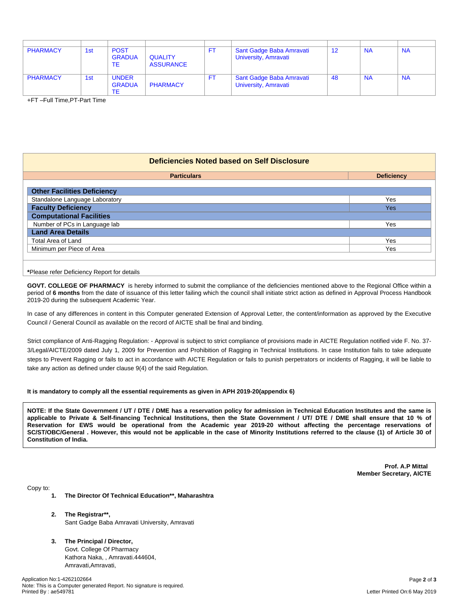| <b>PHARMACY</b> | 1st | <b>POST</b><br><b>GRADUA</b><br>ТE  | <b>QUALITY</b><br><b>ASSURANCE</b> | FT. | Sant Gadge Baba Amravati<br>University, Amravati | -12 | <b>NA</b> | <b>NA</b> |
|-----------------|-----|-------------------------------------|------------------------------------|-----|--------------------------------------------------|-----|-----------|-----------|
| <b>PHARMACY</b> | 1st | <b>UNDER</b><br><b>GRADUA</b><br>ТE | <b>PHARMACY</b>                    | FT. | Sant Gadge Baba Amravati<br>University, Amravati | -48 | <b>NA</b> | <b>NA</b> |

+FT –Full Time,PT-Part Time

## **Deficiencies Noted based on Self Disclosure**

| <b>Particulars</b>                 | <b>Deficiency</b> |
|------------------------------------|-------------------|
|                                    |                   |
| <b>Other Facilities Deficiency</b> |                   |
| Standalone Language Laboratory     | Yes               |
| <b>Faculty Deficiency</b>          | Yes               |
| <b>Computational Facilities</b>    |                   |
| Number of PCs in Language lab      | Yes               |
| <b>Land Area Details</b>           |                   |
| Total Area of Land                 | Yes               |
| Minimum per Piece of Area          | Yes               |
|                                    |                   |

**\***Please refer Deficiency Report for details

**GOVT. COLLEGE OF PHARMACY** is hereby informed to submit the compliance of the deficiencies mentioned above to the Regional Office within a period of **6 months** from the date of issuance of this letter failing which the council shall initiate strict action as defined in Approval Process Handbook 2019-20 during the subsequent Academic Year.

In case of any differences in content in this Computer generated Extension of Approval Letter, the content/information as approved by the Executive Council / General Council as available on the record of AICTE shall be final and binding.

Strict compliance of Anti-Ragging Regulation: - Approval is subject to strict compliance of provisions made in AICTE Regulation notified vide F. No. 37- 3/Legal/AICTE/2009 dated July 1, 2009 for Prevention and Prohibition of Ragging in Technical Institutions. In case Institution fails to take adequate steps to Prevent Ragging or fails to act in accordance with AICTE Regulation or fails to punish perpetrators or incidents of Ragging, it will be liable to take any action as defined under clause 9(4) of the said Regulation.

#### **It is mandatory to comply all the essential requirements as given in APH 2019-20(appendix 6)**

NOTE: If the State Government / UT / DTE / DME has a reservation policy for admission in Technical Education Institutes and the same is applicable to Private & Self-financing Technical Institutions, then the State Government / UT/ DTE / DME shall ensure that 10 % of Reservation for EWS would be operational from the Academic year 2019-20 without affecting the percentage reservations of SC/ST/OBC/General . However, this would not be applicable in the case of Minority Institutions referred to the clause (1) of Article 30 of **Constitution of India.**

> **Prof. A.P Mittal Member Secretary, AICTE**

Copy to:

- **1. The Director Of Technical Education\*\*, Maharashtra**
- **2. The Registrar\*\*,** Sant Gadge Baba Amravati University, Amravati
- **3. The Principal / Director,** Govt. College Of Pharmacy Kathora Naka, , Amravati.444604, Amravati,Amravati,